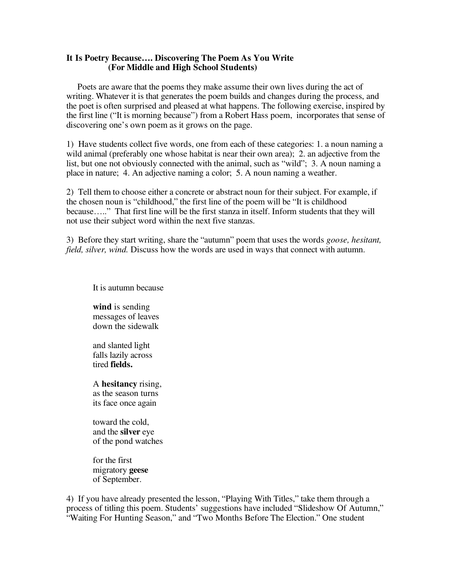## **It Is Poetry Because…. Discovering The Poem As You Write (For Middle and High School Students)**

Poets are aware that the poems they make assume their own lives during the act of writing. Whatever it is that generates the poem builds and changes during the process, and the poet is often surprised and pleased at what happens. The following exercise, inspired by the first line ("It is morning because") from a Robert Hass poem, incorporates that sense of discovering one's own poem as it grows on the page.

1) Have students collect five words, one from each of these categories: 1. a noun naming a wild animal (preferably one whose habitat is near their own area); 2. an adjective from the list, but one not obviously connected with the animal, such as "wild"; 3. A noun naming a place in nature; 4. An adjective naming a color; 5. A noun naming a weather.

2) Tell them to choose either a concrete or abstract noun for their subject. For example, if the chosen noun is "childhood," the first line of the poem will be "It is childhood because….." That first line will be the first stanza in itself. Inform students that they will not use their subject word within the next five stanzas.

3) Before they start writing, share the "autumn" poem that uses the words *goose, hesitant, field, silver, wind.* Discuss how the words are used in ways that connect with autumn.

It is autumn because

**wind** is sending messages of leaves down the sidewalk

and slanted light falls lazily across tired **fields.**

A **hesitancy** rising, as the season turns its face once again

toward the cold, and the **silver** eye of the pond watches

for the first migratory **geese** of September.

4) If you have already presented the lesson, "Playing With Titles," take them through a process of titling this poem. Students' suggestions have included "Slideshow Of Autumn," "Waiting For Hunting Season," and "Two Months Before The Election." One student